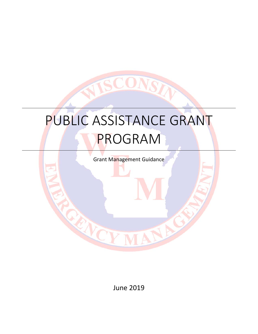# PUBLIC ASSISTANCE GRANT PROGRAM

SCOI

VST

JA

Grant Management Guidance

June 2019

RANCE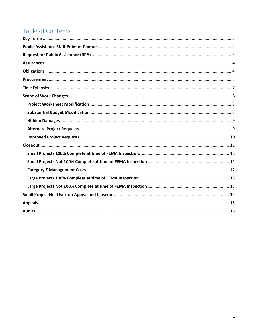# Table of Contents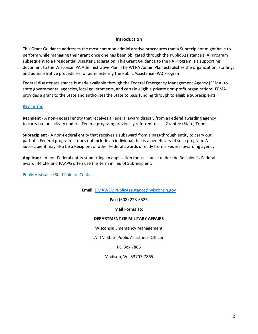# **Introduction**

This Grant Guidance addresses the most common administrative procedures that a Subrecipient might have to perform while managing their grant once one has been obligated through the Public Assistance (PA) Program subsequent to a Presidential Disaster Declaration. This Grant Guidance to the PA Program is a supporting document to the Wisconsin PA Administrative Plan. The WI PA Admin Plan establishes the organization, staffing, and administrative procedures for administering the Public Assistance (PA) Program.

Federal disaster assistance is made available through the Federal Emergency Management Agency (FEMA) to state governmental agencies, local governments, and certain eligible private non‐profit organizations. FEMA provides a grant to the State and authorizes the State to pass funding through to eligible Subrecipients.

#### **Key Terms**

**Recipient** ‐ A non‐Federal entity that receives a Federal award directly from a Federal awarding agency to carry out an activity under a Federal program; previously referred to as a Grantee (State, Tribe)

**Subrecipient** - A non-Federal entity that receives a subaward from a pass-through entity to carry out part of a Federal program. It does not include an individual that is a beneficiary of such program. A Subrecipient may also be a Recipient of other Federal awards directly from a Federal awarding agency.

**Applicant** ‐ A non‐Federal entity submitting an application for assistance under the Recipient's Federal award; 44 CFR and PAAPG often use this term in lieu of Subrecipient.

Public Assistance Staff Point of Contact

**Email:** DMAWEMPublicAssistance@wisconsin.gov

**Fax:** (608) 223‐6526

#### **Mail Forms To:**

#### **DEPARTMENT OF MILITARY AFFAIRS**

Wisconsin Emergency Management

ATTN: State Public Assistance Officer

PO Box 7865

Madison, WI 53707‐7865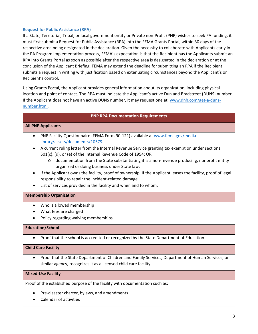#### **Request for Public Assistance (RPA)**

If a State, Territorial, Tribal, or local government entity or Private non‐Profit (PNP) wishes to seek PA funding, it must first submit a Request for Public Assistance (RPA) into the FEMA Grants Portal, within 30 days of the respective area being designated in the declaration. Given the necessity to collaborate with Applicants early in the PA Program implementation process, FEMA's expectation is that the Recipient has the Applicants submit an RPA into Grants Portal as soon as possible after the respective area is designated in the declaration or at the conclusion of the Applicant Briefing. FEMA may extend the deadline for submitting an RPA if the Recipient submits a request in writing with justification based on extenuating circumstances beyond the Applicant's or Recipient's control.

Using Grants Portal, the Applicant provides general information about its organization, including physical location and point of contact. The RPA must indicate the Applicant's active Dun and Bradstreet (DUNS) number. If the Applicant does not have an active DUNS number, it may request one at: www.dnb.com/get-a-dunsnumber.html.

#### **PNP RPA Documentation Requirements**

#### **All PNP Applicants**

- PNP Facility Questionnaire (FEMA Form 90‐121) available at www.fema.gov/media‐ library/assets/documents/10579.
- A current ruling letter from the Internal Revenue Service granting tax exemption under sections 501(c), (d), or (e) of the Internal Revenue Code of 1954; OR
	- o documentation from the State substantiating it is a non‐revenue producing, nonprofit entity organized or doing business under State law.
- If the Applicant owns the facility, proof of ownership. If the Applicant leases the facility, proof of legal responsibility to repair the incident‐related damage.
- List of services provided in the facility and when and to whom.

#### **Membership Organization**

- Who is allowed membership
- What fees are charged
- Policy regarding waiving memberships

#### **Education/School**

Proof that the school is accredited or recognized by the State Department of Education

#### **Child Care Facility**

 Proof that the State Department of Children and Family Services, Department of Human Services, or similar agency, recognizes it as a licensed child care facility

#### **Mixed‐Use Facility**

Proof of the established purpose of the facility with documentation such as:

- Pre-disaster charter, bylaws, and amendments
- Calendar of activities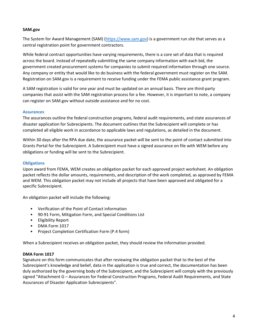#### **SAM.gov**

The System for Award Management (SAM) (https://www.sam.gov) is a government run site that serves as a central registration point for government contractors.

While federal contract opportunities have varying requirements, there is a core set of data that is required across the board. Instead of repeatedly submitting the same company information with each bid, the government created procurement systems for companies to submit required information through one source. Any company or entity that would like to do business with the federal government must register on the SAM. Registration on SAM.gov is a requirement to receive funding under the FEMA public assistance grant program.

A SAM registration is valid for one year and must be updated on an annual basis. There are third‐party companies that assist with the SAM registration process for a fee. However, it is important to note, a company can register on SAM.gov without outside assistance and for no cost.

# **Assurances**

The assurances outline the federal construction programs, federal audit requirements, and state assurances of disaster application for Subrecipients. The document outlines that the Subrecipient will complete or has completed all eligible work in accordance to applicable laws and regulations, as detailed in the document.

Within 30 days after the RPA due date, the assurance packet will be sent to the point of contact submitted into Grants Portal for the Subrecipient. A Subrecipient must have a signed assurance on file with WEM before any obligations or funding will be sent to the Subrecipient.

# **Obligations**

Upon award from FEMA, WEM creates an obligation packet for each approved project worksheet. An obligation packet reflects the dollar amounts, requirements, and description of the work completed, as approved by FEMA and WEM. This obligation packet may not include all projects that have been approved and obligated for a specific Subrecipient.

An obligation packet will include the following:

- Verification of the Point of Contact information
- 90‐91 Form, Mitigation Form, and Special Conditions List
- Eligibility Report
- DMA Form 1017
- Project Completion Certification Form (P.4 form)

When a Subrecipient receives an obligation packet, they should review the information provided.

#### **DMA Form 1017**

Signature on this form communicates that after reviewing the obligation packet that to the best of the Subrecipient's knowledge and belief, data in the application is true and correct, the documentation has been duly authorized by the governing body of the Subrecipient, and the Subrecipient will comply with the previously signed "Attachment G – Assurances for Federal Construction Programs, Federal Audit Requirements, and State Assurances of Disaster Application Subrecipients".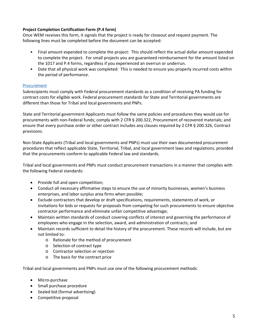# **Project Completion Certification Form (P.4 form)**

Once WEM receives this form, it signals that the project is ready for closeout and request payment. The following lines must be completed before the document can be accepted:

- Final amount expended to complete the project: This should reflect the actual dollar amount expended to complete the project. For small projects you are guaranteed reimbursement for the amount listed on the 1017 and P.4 forms, regardless if you experienced an overrun or underrun.
- Date that all physical work was completed: This is needed to ensure you properly incurred costs within the period of performance.

#### Procurement

Subrecipients must comply with Federal procurement standards as a condition of receiving PA funding for contract costs for eligible work. Federal procurement standards for State and Territorial governments are different than those for Tribal and local governments and PNPs.

State and Territorial government Applicants must follow the same policies and procedures they would use for procurements with non‐Federal funds; comply with 2 CFR § 200.322, Procurement of recovered materials; and ensure that every purchase order or other contract includes any clauses required by 2 CFR § 200.326, Contract provisions.

Non‐State Applicants (Tribal and local governments and PNPs) must use their own documented procurement procedures that reflect applicable State, Territorial, Tribal, and local government laws and regulations, provided that the procurements conform to applicable Federal law and standards.

Tribal and local governments and PNPs must conduct procurement transactions in a manner that complies with the following Federal standards:

- Provide full and open competition;
- Conduct all necessary affirmative steps to ensure the use of minority businesses, women's business enterprises, and labor surplus area firms when possible;
- Exclude contractors that develop or draft specifications, requirements, statements of work, or invitations for bids or requests for proposals from competing for such procurements to ensure objective contractor performance and eliminate unfair competitive advantage;
- Maintain written standards of conduct covering conflicts of interest and governing the performance of employees who engage in the selection, award, and administration of contracts; and
- Maintain records sufficient to detail the history of the procurement. These records will include, but are not limited to:
	- o Rationale for the method of procurement
	- o Selection of contract type
	- o Contractor selection or rejection
	- o The basis for the contract price

Tribal and local governments and PNPs must use one of the following procurement methods:

- Micro-purchase
- Small purchase procedure
- Sealed bid (formal advertising)
- Competitive proposal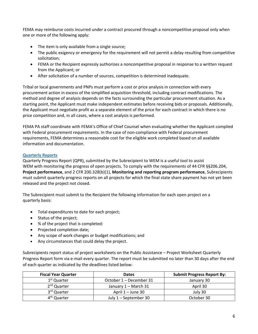FEMA may reimburse costs incurred under a contract procured through a noncompetitive proposal only when one or more of the following apply:

- The item is only available from a single source;
- The public exigency or emergency for the requirement will not permit a delay resulting from competitive solicitation;
- FEMA or the Recipient expressly authorizes a noncompetitive proposal in response to a written request from the Applicant; or
- After solicitation of a number of sources, competition is determined inadequate.

Tribal or local governments and PNPs must perform a cost or price analysis in connection with every procurement action in excess of the simplified acquisition threshold, including contract modifications. The method and degree of analysis depends on the facts surrounding the particular procurement situation. As a starting point, the Applicant must make independent estimates before receiving bids or proposals. Additionally, the Applicant must negotiate profit as a separate element of the price for each contract in which there is no price competition and, in all cases, where a cost analysis is performed.

FEMA PA staff coordinate with FEMA's Office of Chief Counsel when evaluating whether the Applicant complied with Federal procurement requirements. In the case of non-compliance with Federal procurement requirements, FEMA determines a reasonable cost for the eligible work completed based on all available information and documentation.

# **Quarterly Reports**

Quarterly Progress Report (QPR), submitted by the Subrecipient to WEM is a useful tool to assist WEM with monitoring the progress of open projects. To comply with the requirements of 44 CFR §§206.204, **Project performance**, and 2 CFR 200.328(b)(1), **Monitoring and reporting program performance**, Subrecipients must submit quarterly progress reports on all projects for which the final state share payment has not yet been released and the project not closed.

The Subrecipient must submit to the Recipient the following information for each open project on a quarterly basis:

- Total expenditures to date for each project;
- Status of the project;
- % of the project that is completed:
- Projected completion date;
- Any scope of work changes or budget modifications; and
- Any circumstances that could delay the project.

Subrecipients report status of project worksheets on the Public Assistance – Project Worksheet Quarterly Progress Report form via e‐mail every quarter. The report must be submitted no later than 30 days after the end of each quarter as indicated by the deadlines listed below:

| <b>Fiscal Year Quarter</b> | <b>Dates</b>            | <b>Submit Progress Report By:</b> |
|----------------------------|-------------------------|-----------------------------------|
| 1 <sup>st</sup> Quarter    | October 1 – December 31 | January 30                        |
| 2 <sup>nd</sup> Quarter    | January 1 – March 31    | April 30                          |
| 3 <sup>rd</sup> Quarter    | April 1 – June 30       | July 30                           |
| 4 <sup>th</sup> Quarter    | July 1 – September 30   | October 30                        |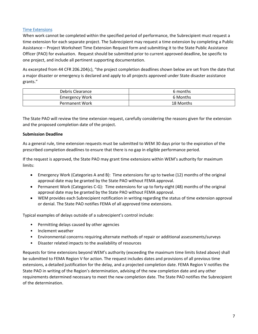# Time Extensions

When work cannot be completed within the specified period of performance, the Subrecipient must request a time extension for each separate project. The Subrecipient may request a time extension by completing a Public Assistance – Project Worksheet Time Extension Request form and submitting it to the State Public Assistance Officer (PAO) for evaluation. Request should be submitted prior to current approved deadline, be specific to one project, and include all pertinent supporting documentation.

As excerpted from 44 CFR 206.204(c), "the project completion deadlines shown below are set from the date that a major disaster or emergency is declared and apply to all projects approved under State disaster assistance grants."

| Debris Clearance      | 6 months  |
|-----------------------|-----------|
| <b>Emergency Work</b> | 6 Months  |
| <b>Permanent Work</b> | 18 Months |

The State PAO will review the time extension request, carefully considering the reasons given for the extension and the proposed completion date of the project.

# **Submission Deadline**

As a general rule, time extension requests must be submitted to WEM 30 days prior to the expiration of the prescribed completion deadlines to ensure that there is no gap in eligible performance period.

If the request is approved, the State PAO may grant time extensions within WEM's authority for maximum limits:

- Emergency Work (Categories A and B): Time extensions for up to twelve (12) months of the original approval date may be granted by the State PAO without FEMA approval.
- Permanent Work (Categories C-G): Time extensions for up to forty-eight (48) months of the original approval date may be granted by the State PAO without FEMA approval.
- WEM provides each Subrecipient notification in writing regarding the status of time extension approval or denial. The State PAO notifies FEMA of all approved time extensions.

Typical examples of delays outside of a subrecipient's control include:

- Permitting delays caused by other agencies
- Inclement weather
- Environmental concerns requiring alternate methods of repair or additional assessments/surveys
- Disaster related impacts to the availability of resources

Requests for time extensions beyond WEM's authority (exceeding the maximum time limits listed above) shall be submitted to FEMA Region V for action. The request includes dates and provisions of all previous time extensions, a detailed justification for the delay, and a projected completion date. FEMA Region V notifies the State PAO in writing of the Region's determination, advising of the new completion date and any other requirements determined necessary to meet the new completion date. The State PAO notifies the Subrecipient of the determination.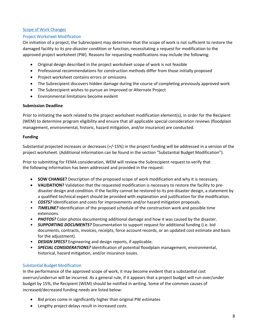# Scope of Work Changes

# Project Worksheet Modification

On initiation of a project, the Subrecipient may determine that the scope of work is not sufficient to restore the damaged facility to its pre‐disaster condition or function, necessitating a request for modification to the approved project worksheet (PW). Reasons for requesting modifications may include the following:

- Original design described in the project worksheet scope of work is not feasible
- Professional recommendations for construction methods differ from those initially proposed
- Project worksheet contains errors or omissions
- The Subrecipient discovers hidden damage during the course of completing previously approved work
- The Subrecipient wishes to pursue an Improved or Alternate Project
- Environmental limitations become evident

#### **Submission Deadline**

Prior to initiating the work related to the project worksheet modification element(s), in order for the Recipient (WEM) to determine program eligibility and ensure that all applicable special consideration reviews (floodplain management, environmental, historic, hazard mitigation, and/or insurance) are conducted.

#### **Funding**

Substantial projected increases or decreases (+/‐15%) in the project funding will be addressed in a version of the project worksheet. (Additional information can be found in the section "Substantial Budget Modification").

Prior to submitting for FEMA consideration, WEM will review the Subrecipient request to verify that the following information has been addressed and provided in the request:

- **SOW CHANGE?** Description of the proposed scope of work modification and why it is necessary.
- **VALIDATION?** Validation that the requested modification is necessary to restore the facility to predisaster design and condition. If the facility cannot be restored to its pre‐disaster design, a statement by a qualified technical expert should be provided with explanation and justification for the modification.
- *COSTS?* Identification and costs for improvements and/or hazard mitigation proposals.
- **TIMELINE?** Identification of the proposed schedule of the construction work and possible time extensions.
- *PHOTOS?* Color photos documenting additional damage and how it was caused by the disaster.
- *SUPPORTING DOCUMENTS?* Documentation to support request for additional funding (i.e. bid documents, contracts, invoices, receipts, force account records, or an updated cost estimate and basis for the adjustment).
- *DESIGN SPECS?* Engineering and design reports, if applicable.
- *SPECIAL CONSIDERATIONS?* Identification of potential floodplain management, environmental, historical, hazard mitigation, and/or insurance issues.

# Substantial Budget Modification

In the performance of the approved scope of work, it may become evident that a substantial cost overrun/underrun will be incurred. As a general rule, if it appears that a project budget will run over/under budget by 15%, the Recipient (WEM) should be notified in writing. Some of the common causes of increased/decreased funding needs are listed below:

- Bid prices come in significantly higher than original PW estimates
- Lengthy project delays result in increased costs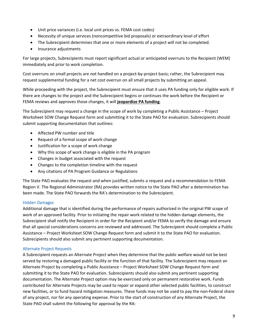- Unit price variances (i.e. local unit prices vs. FEMA cost codes)
- Necessity of unique services (noncompetitive bid proposals) or extraordinary level of effort
- The Subrecipient determines that one or more elements of a project will not be completed.
- Insurance adjustments

For large projects, Subrecipients must report significant actual or anticipated overruns to the Recipient (WEM) immediately and prior to work completion.

Cost overruns on small projects are not handled on a project‐by‐project basis; rather, the Subrecipient may request supplemental funding for a net cost overrun on all small projects by submitting an appeal.

While proceeding with the project, the Subrecipient must ensure that it uses PA funding only for eligible work. If there are changes to the project and the Subrecipient begins or continues the work before the Recipient or FEMA reviews and approves those changes, it will **jeopardize PA funding**.

The Subrecipient may request a change in the scope of work by completing a Public Assistance – Project Worksheet SOW Change Request form and submitting it to the State PAO for evaluation. Subrecipients should submit supporting documentation that outlines:

- Affected PW number and title
- Request of a formal scope of work change
- Justification for a scope of work change
- Why this scope of work change is eligible in the PA program
- Changes in budget associated with the request
- Changes to the completion timeline with the request
- Any citations of PA Program Guidance or Regulations

The State PAO evaluates the request and when justified, submits a request and a recommendation to FEMA Region V. The Regional Administrator (RA) provides written notice to the State PAO after a determination has been made. The State PAO forwards the RA's determination to the Subrecipient.

#### Hidden Damages

Additional damage that is identified during the performance of repairs authorized in the original PW scope of work of an approved facility. Prior to initiating the repair work related to the hidden damage elements, the Subrecipient shall notify the Recipient in order for the Recipient and/or FEMA to verify the damage and ensure that all special considerations concerns are reviewed and addressed. The Subrecipient should complete a Public Assistance – Project Worksheet SOW Change Request form and submit it to the State PAO for evaluation. Subrecipients should also submit any pertinent supporting documentation.

#### Alternate Project Requests

A Subrecipient requests an Alternate Project when they determine that the public welfare would not be best served by restoring a damaged public facility or the function of that facility. The Subrecipient may request an Alternate Project by completing a Public Assistance – Project Worksheet SOW Change Request form and submitting it to the State PAO for evaluation. Subrecipients should also submit any pertinent supporting documentation. The Alternate Project option may be exercised only on permanent restorative work. Funds contributed for Alternate Projects may be used to repair or expand other selected public facilities, to construct new facilities, or to fund hazard mitigation measures. These funds may not be used to pay the non‐Federal share of any project, nor for any operating expense. Prior to the start of construction of any Alternate Project, the State PAO shall submit the following for approval by the RA: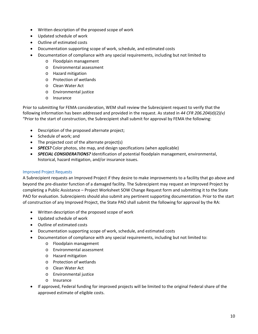- Written description of the proposed scope of work
- Updated schedule of work
- Outline of estimated costs
- Documentation supporting scope of work, schedule, and estimated costs
- Documentation of compliance with any special requirements, including but not limited to
	- o Floodplain management
	- o Environmental assessment
	- o Hazard mitigation
	- o Protection of wetlands
	- o Clean Water Act
	- o Environmental justice
	- o Insurance

Prior to submitting for FEMA consideration, WEM shall review the Subrecipient request to verify that the following information has been addressed and provided in the request. As stated in *44 CFR 206.204(d)(2)(v)*  "Prior to the start of construction, the Subrecipient shall submit for approval by FEMA the following:

- Description of the proposed alternate project;
- Schedule of work; and
- The projected cost of the alternate project(s)
- **SPECS?** Color photos, site map, and design specifications (when applicable)
- *SPECIAL CONSIDERATIONS?* Identification of potential floodplain management, environmental, historical, hazard mitigation, and/or insurance issues.

#### Improved Project Requests

A Subrecipient requests an Improved Project if they desire to make improvements to a facility that go above and beyond the pre‐disaster function of a damaged facility. The Subrecipient may request an Improved Project by completing a Public Assistance – Project Worksheet SOW Change Request form and submitting it to the State PAO for evaluation. Subrecipients should also submit any pertinent supporting documentation. Prior to the start of construction of any Improved Project, the State PAO shall submit the following for approval by the RA:

- Written description of the proposed scope of work
- Updated schedule of work
- Outline of estimated costs
- Documentation supporting scope of work, schedule, and estimated costs
- Documentation of compliance with any special requirements, including but not limited to:
	- o Floodplain management
	- o Environmental assessment
	- o Hazard mitigation
	- o Protection of wetlands
	- o Clean Water Act
	- o Environmental justice
	- o Insurance
- If approved, Federal funding for improved projects will be limited to the original Federal share of the approved estimate of eligible costs.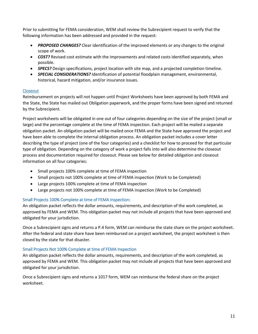Prior to submitting for FEMA consideration, WEM shall review the Subrecipient request to verify that the following information has been addressed and provided in the request:

- *PROPOSED CHANGES?* Clear identification of the improved elements or any changes to the original scope of work.
- *COST?* Revised cost estimate with the improvements and related costs identified separately, when possible.
- *SPECS?* Design specifications, project location with site map, and a projected completion timeline.
- *SPECIAL CONSIDERATIONS?* Identification of potential floodplain management, environmental, historical, hazard mitigation, and/or insurance issues.

# **Closeout**

Reimbursement on projects will not happen until Project Worksheets have been approved by both FEMA and the State, the State has mailed out Obligation paperwork, and the proper forms have been signed and returned by the Subrecipient.

Project worksheets will be obligated in one out of four categories depending on the size of the project (small or large) and the percentage complete at the time of FEMA inspection. Each project will be mailed a separate obligation packet. An obligation packet will be mailed once FEMA and the State have approved the project and have been able to complete the internal obligation process. An obligation packet includes a cover letter describing the type of project (one of the four categories) and a checklist for how to proceed for that particular type of obligation. Depending on the category of work a project falls into will also determine the closeout process and documentation required for closeout. Please see below for detailed obligation and closeout information on all four categories:

- Small projects 100% complete at time of FEMA inspection
- Small projects not 100% complete at time of FEMA inspection (Work to be Completed)
- Large projects 100% complete at time of FEMA inspection
- Large projects not 100% complete at time of FEMA inspection (Work to be Completed)

# Small Projects 100% Complete at time of FEMA Inspection:

An obligation packet reflects the dollar amounts, requirements, and description of the work completed, as approved by FEMA and WEM. This obligation packet may not include all projects that have been approved and obligated for your jurisdiction.

Once a Subrecipient signs and returns a P.4 form, WEM can reimburse the state share on the project worksheet. After the federal and state share have been reimbursed on a project worksheet, the project worksheet is then closed by the state for that disaster.

# Small Projects Not 100% Complete at time of FEMA Inspection

An obligation packet reflects the dollar amounts, requirements, and description of the work completed, as approved by FEMA and WEM. This obligation packet may not include all projects that have been approved and obligated for your jurisdiction.

Once a Subrecipient signs and returns a 1017 form, WEM can reimburse the federal share on the project worksheet.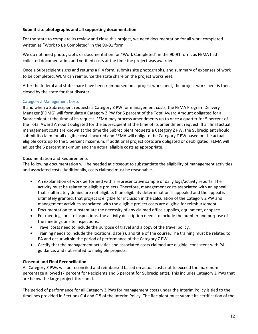#### **Submit site photographs and all supporting documentation**

For the state to complete its review and close this project, we need documentation for all work completed written as "Work to Be Completed" in the 90‐91 form.

We do not need photographs or documentation for "Work Completed" in the 90‐91 form, as FEMA had collected documentation and verified costs at the time the project was awarded.

Once a Subrecipient signs and returns a P.4 form, submits site photographs, and summary of expenses of work to be completed, WEM can reimburse the state share on the project worksheet.

After the federal and state share have been reimbursed on a project worksheet, the project worksheet is then closed by the state for that disaster.

# Category Z Management Costs

If and when a Subrecipient requests a Category Z PW for management costs, the FEMA Program Delivery Manager (PDMG) will formulate a Category Z PW for 5 percent of the Total Award Amount obligated for a Subrecipient at the time of its request. FEMA may process amendments up to once a quarter for 5 percent of the Total Award Amount obligated for the Subrecipient at the time of its amendment request. If all final actual management costs are known at the time the Subrecipient requests a Category Z PW, the Subrecipient should submit its claim for all eligible costs incurred and FEMA will obligate the Category Z PW based on the actual eligible costs up to the 5 percent maximum. If additional project costs are obligated or deobligated, FEMA will adjust the 5 percent maximum and the actual eligible costs as appropriate.

# Documentation and Requirements

The following documentation will be needed at closeout to substantiate the eligibility of management activities and associated costs. Additionally, costs claimed must be reasonable.

- An explanation of work performed with a representative sample of daily logs/activity reports. The activity must be related to eligible projects. Therefore, management costs associated with an appeal that is ultimately denied are not eligible. If an eligibility determination is appealed and the appeal is ultimately granted, that project is eligible for inclusion in the calculation of the Category Z PW and management activities associated with the eligible project costs are eligible for reimbursement.
- Documentation to substantiate the necessity of any claimed office supplies, equipment, or space.
- For meetings or site inspections, the activity description needs to include the number and purpose of the meetings or site inspections.
- Travel costs need to include the purpose of travel and a copy of the travel policy.
- Training needs to include the locations, date(s), and title of the course. The training must be related to PA and occur within the period of performance of the Category Z PW.
- Certify that the management activities and associated costs claimed are eligible, consistent with PA guidance, and not related to ineligible projects.

# **Closeout and Final Reconciliation**

All Category Z PWs will be reconciled and reimbursed based on actual costs not to exceed the maximum percentage allowed (7 percent for Recipients and 5 percent for Subrecipients). This includes Category Z PWs that are below the large project threshold.

The period of performance for all Category Z PWs for management costs under the Interim Policy is tied to the timelines provided in Sections C.4 and C.5 of the Interim Policy. The Recipient must submit its certification of the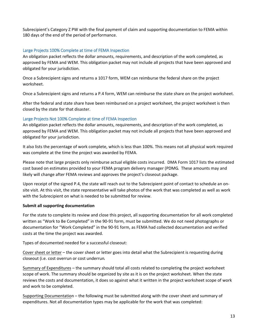Subrecipient's Category Z PW with the final payment of claim and supporting documentation to FEMA within 180 days of the end of the period of performance.

# Large Projects 100% Complete at time of FEMA Inspection

An obligation packet reflects the dollar amounts, requirements, and description of the work completed, as approved by FEMA and WEM. This obligation packet may not include all projects that have been approved and obligated for your jurisdiction.

Once a Subrecipient signs and returns a 1017 form, WEM can reimburse the federal share on the project worksheet.

Once a Subrecipient signs and returns a P.4 form, WEM can reimburse the state share on the project worksheet.

After the federal and state share have been reimbursed on a project worksheet, the project worksheet is then closed by the state for that disaster.

# Large Projects Not 100% Complete at time of FEMA Inspection

An obligation packet reflects the dollar amounts, requirements, and description of the work completed, as approved by FEMA and WEM. This obligation packet may not include all projects that have been approved and obligated for your jurisdiction.

It also lists the percentage of work complete, which is less than 100%. This means not all physical work required was complete at the time the project was awarded by FEMA.

Please note that large projects only reimburse actual eligible costs incurred. DMA Form 1017 lists the estimated cost based on estimates provided to your FEMA program delivery manager (PDMG. These amounts may and likely will change after FEMA reviews and approves the project's closeout package.

Upon receipt of the signed P.4, the state will reach out to the Subrecipient point of contact to schedule an on‐ site visit. At this visit, the state representative will take photos of the work that was completed as well as work with the Subrecipient on what is needed to be submitted for review.

# **Submit all supporting documentation**

For the state to complete its review and close this project, all supporting documentation for all work completed written as "Work to Be Completed" in the 90‐91 form, must be submitted. We do not need photographs or documentation for "Work Completed" in the 90‐91 form, as FEMA had collected documentation and verified costs at the time the project was awarded.

Types of documented needed for a successful closeout:

Cover sheet or letter – the cover sheet or letter goes into detail what the Subrecipient is requesting during closeout (i.e. cost overrun or cost underrun.

Summary of Expenditures – the summary should total all costs related to completing the project worksheet scope of work. The summary should be organized by site as it is on the project worksheet. When the state reviews the costs and documentation, it does so against what it written in the project worksheet scope of work and work to be completed.

Supporting Documentation – the following must be submitted along with the cover sheet and summary of expenditures. Not all documentation types may be applicable for the work that was completed: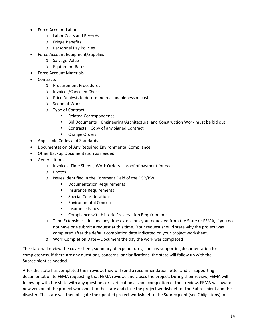- Force Account Labor
	- o Labor Costs and Records
	- o Fringe Benefits
	- o Personnel Pay Policies
- Force Account Equipment/Supplies
	- o Salvage Value
	- o Equipment Rates
- Force Account Materials
- Contracts
	- o Procurement Procedures
	- o Invoices/Canceled Checks
	- o Price Analysis to determine reasonableness of cost
	- o Scope of Work
	- o Type of Contract
		- **Related Correspondence**
		- Bid Documents Engineering/Architectural and Construction Work must be bid out
		- Contracts Copy of any Signed Contract
		- **-** Change Orders
- Applicable Codes and Standards
- Documentation of Any Required Environmental Compliance
- Other Backup Documentation as needed
- General Items
	- o Invoices, Time Sheets, Work Orders proof of payment for each
	- o Photos
	- o Issues Identified in the Comment Field of the DSR/PW
		- **•** Documentation Requirements
		- **Insurance Requirements**
		- **Special Considerations**
		- **Environmental Concerns**
		- **Insurance Issues**
		- **EXECOMPLE COMPLIANCE WITH HISTORY PRESERVATION Requirements**
	- o Time Extensions include any time extensions you requested from the State or FEMA, if you do not have one submit a request at this time. Your request should state why the project was completed after the default completion date indicated on your project worksheet.
	- o Work Completion Date Document the day the work was completed

The state will review the cover sheet, summary of expenditures, and any supporting documentation for completeness. If there are any questions, concerns, or clarifications, the state will follow up with the Subrecipient as needed.

After the state has completed their review, they will send a recommendation letter and all supporting documentation to FEMA requesting that FEMA reviews and closes the project. During their review, FEMA will follow up with the state with any questions or clarifications. Upon completion of their review, FEMA will award a new version of the project worksheet to the state and close the project worksheet for the Subrecipient and the disaster. The state will then obligate the updated project worksheet to the Subrecipient (see Obligations) for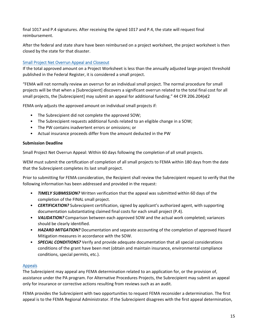final 1017 and P.4 signatures. After receiving the signed 1017 and P.4, the state will request final reimbursement.

After the federal and state share have been reimbursed on a project worksheet, the project worksheet is then closed by the state for that disaster.

# Small Project Net Overrun Appeal and Closeout

If the total approved amount on a Project Worksheet is less than the annually adjusted large project threshold published in the Federal Register, it is considered a small project.

"FEMA will not normally review an overrun for an individual small project. The normal procedure for small projects will be that when a [Subrecipient] discovers a significant overrun related to the total final cost for all small projects, the [Subrecipient] may submit an appeal for additional funding." 44 CFR 206.204(e(2

FEMA only adjusts the approved amount on individual small projects if:

- The Subrecipient did not complete the approved SOW;
- The Subrecipient requests additional funds related to an eligible change in a SOW;
- The PW contains inadvertent errors or omissions; or
- Actual insurance proceeds differ from the amount deducted in the PW

#### **Submission Deadline**

Small Project Net Overrun Appeal: Within 60 days following the completion of all small projects.

WEM must submit the certification of completion of all small projects to FEMA within 180 days from the date that the Subrecipient completes its last small project.

Prior to submitting for FEMA consideration, the Recipient shall review the Subrecipient request to verify that the following information has been addressed and provided in the request:

- *TIMELY SUBMISSION?* Written verification that the appeal was submitted within 60 days of the completion of the FINAL small project.
- *CERTIFICATION?* Subrecipient certification, signed by applicant's authorized agent, with supporting documentation substantiating claimed final costs for each small project (P.4).
- *VALIDATION?* Comparison between each approved SOW and the actual work completed; variances should be clearly identified.
- *HAZARD MITGATION?* Documentation and separate accounting of the completion of approved Hazard Mitigation measures in accordance with the SOW.
- *SPECIAL CONDITIONS?* Verify and provide adequate documentation that all special considerations conditions of the grant have been met (obtain and maintain insurance, environmental compliance conditions, special permits, etc.).

# Appeals

The Subrecipient may appeal any FEMA determination related to an application for, or the provision of, assistance under the PA program. For Alternative Procedures Projects, the Subrecipient may submit an appeal only for insurance or corrective actions resulting from reviews such as an audit.

FEMA provides the Subrecipient with two opportunities to request FEMA reconsider a determination. The first appeal is to the FEMA Regional Administrator. If the Subrecipient disagrees with the first appeal determination,